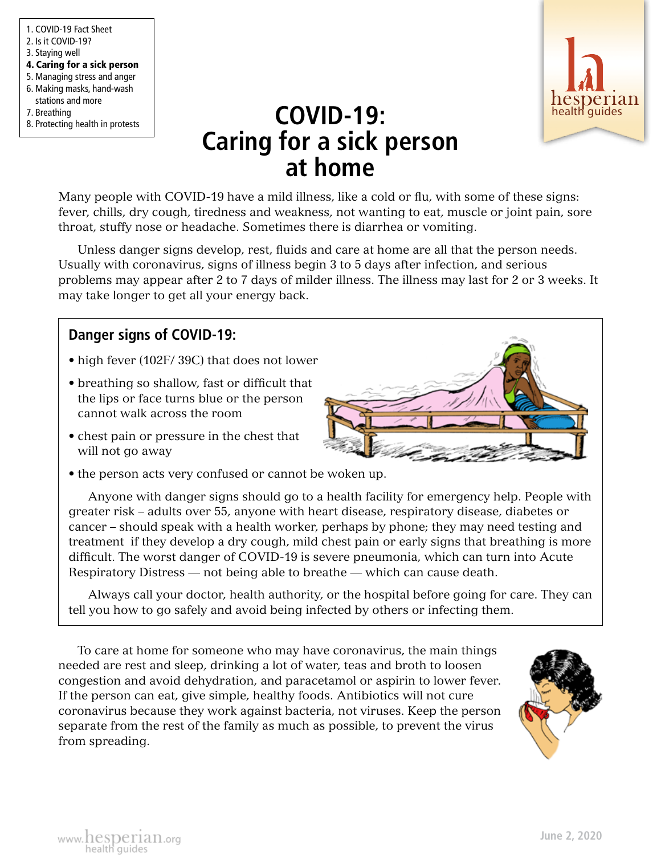1. COVID-19 Fact Sheet 2. Is it COVID-19? 3. Staying well 4. Caring for a sick person 5. Managing stress and anger 6. Making masks, hand-wash stations and more 7. Breathing 8. Protecting health in protests



## **COVID-19: COVID-19: COVID-19: Caring for a sick person at home**

Many people with COVID-19 have a mild illness, like a cold or flu, with some of these signs: fever, chills, dry cough, tiredness and weakness, not wanting to eat, muscle or joint pain, sore throat, stuffy nose or headache. Sometimes there is diarrhea or vomiting.

Unless danger signs develop, rest, fluids and care at home are all that the person needs. Usually with coronavirus, signs of illness begin 3 to 5 days after infection, and serious problems may appear after 2 to 7 days of milder illness. The illness may last for 2 or 3 weeks. It may take longer to get all your energy back.

## **Danger signs of COVID-19:**

- high fever (102F/ 39C) that does not lower
- breathing so shallow, fast or difficult that the lips or face turns blue or the person cannot walk across the room
- chest pain or pressure in the chest that will not go away
- the person acts very confused or cannot be woken up.

Anyone with danger signs should go to a health facility for emergency help. People with greater risk – adults over 55, anyone with heart disease, respiratory disease, diabetes or cancer – should speak with a health worker, perhaps by phone; they may need testing and treatment if they develop a dry cough, mild chest pain or early signs that breathing is more difficult. The worst danger of COVID-19 is severe pneumonia, which can turn into Acute Respiratory Distress — not being able to breathe — which can cause death.

Always call your doctor, health authority, or the hospital before going for care. They can tell you how to go safely and avoid being infected by others or infecting them.

To care at home for someone who may have coronavirus, the main things needed are rest and sleep, drinking a lot of water, teas and broth to loosen congestion and avoid dehydration, and paracetamol or aspirin to lower fever. If the person can eat, give simple, healthy foods. Antibiotics will not cure coronavirus because they work against bacteria, not viruses. Keep the person separate from the rest of the family as much as possible, to prevent the virus from spreading.